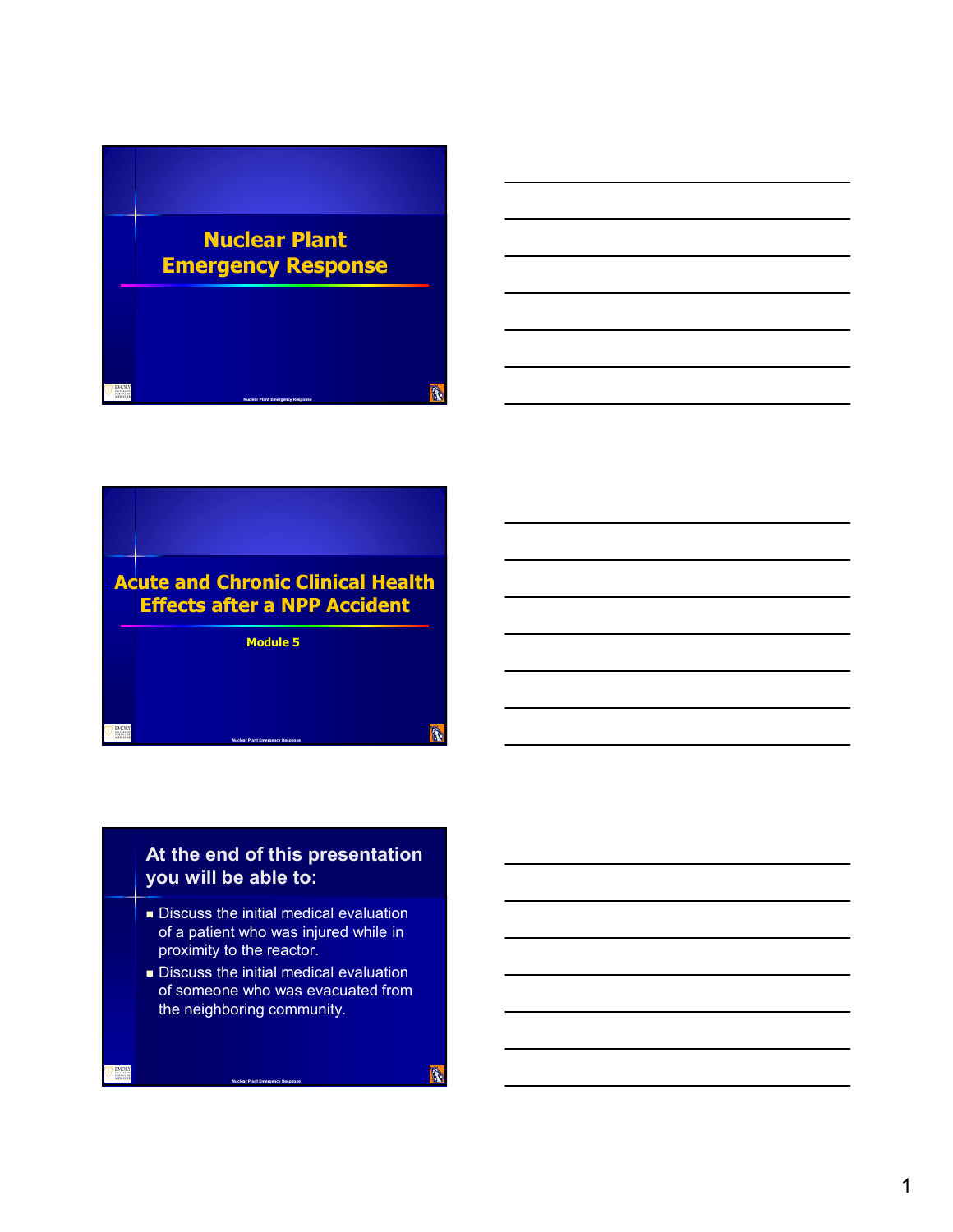



### **At the end of this presentation you will be able to:**

- Discuss the initial medical evaluation of a patient who was injured while in proximity to the reactor.
- Discuss the initial medical evaluation of someone who was evacuated from the neighboring community.

**Nuclear Plant Emergency Response**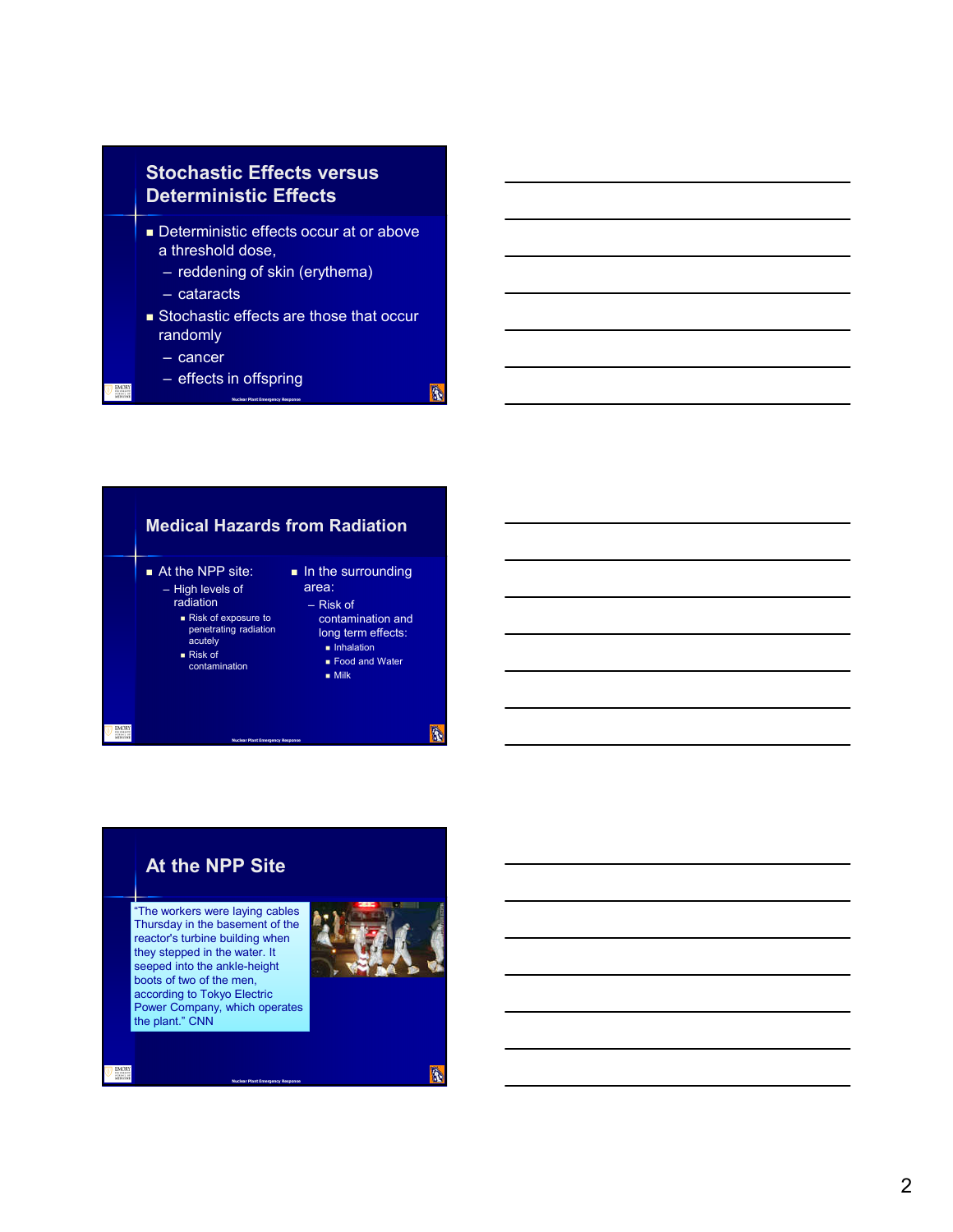

- Deterministic effects occur at or above a threshold dose,
	- reddening of skin (erythema)

**Nuclear Plant Emergency Response**

- cataracts
- **Stochastic effects are those that occur** randomly

**B** 

- cancer
- effects in offspring



### **At the NPP Site**

"The workers were laying cables Thursday in the basement of the reactor's turbine building when they stepped in the water. It seeped into the ankle-height boots of two of the men, according to Tokyo Electric Power Company, which operates the plant." CNN

**Nuclear Plant Emergency Response**



A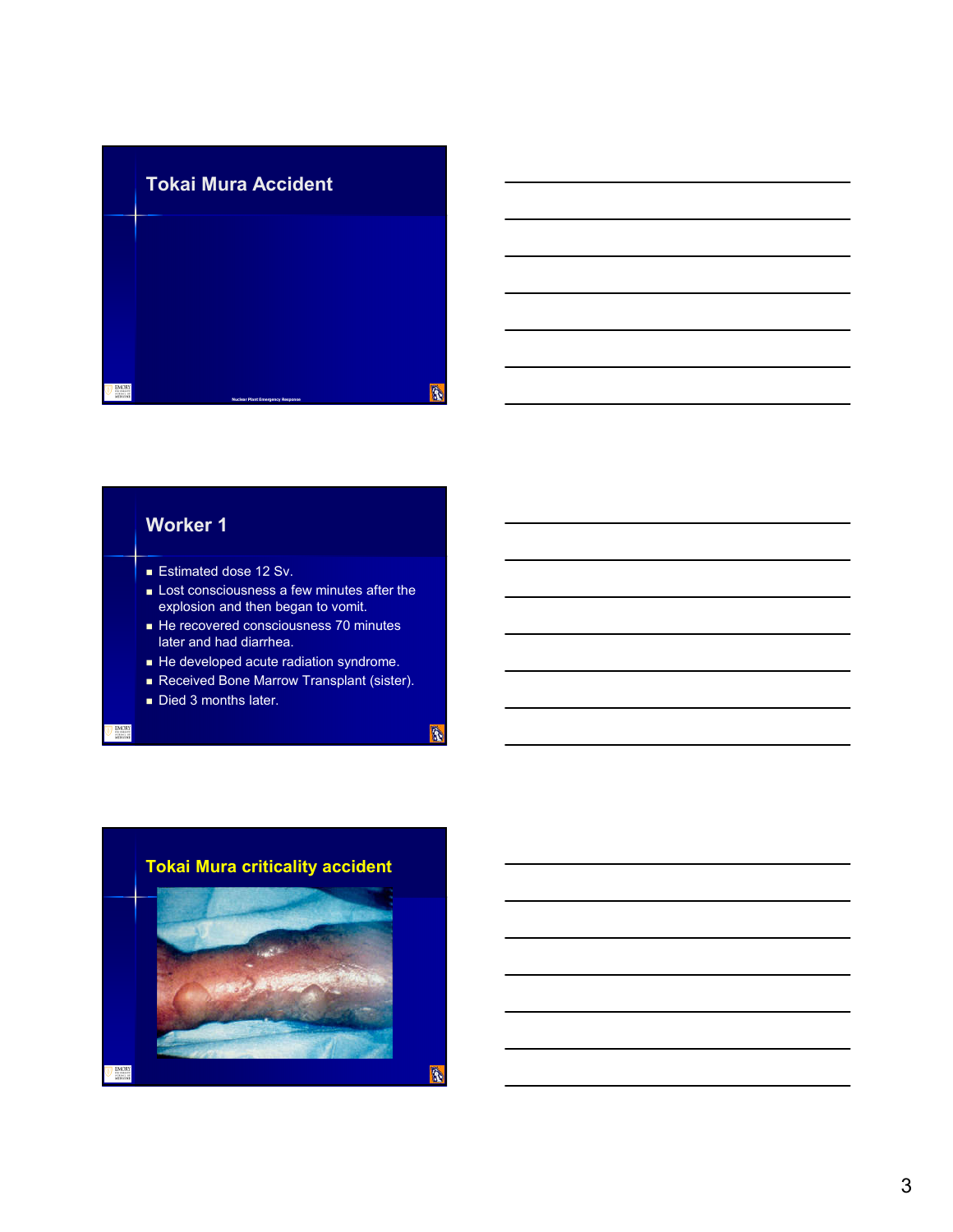

### **Worker 1**

- **Estimated dose 12 Sv.**
- Lost consciousness a few minutes after the explosion and then began to vomit.
- He recovered consciousness 70 minutes later and had diarrhea.
- He developed acute radiation syndrome.
- Received Bone Marrow Transplant (sister).

 $\begin{picture}(20,20) \put(0,0){\line(1,0){10}} \put(15,0){\line(1,0){10}} \put(15,0){\line(1,0){10}} \put(15,0){\line(1,0){10}} \put(15,0){\line(1,0){10}} \put(15,0){\line(1,0){10}} \put(15,0){\line(1,0){10}} \put(15,0){\line(1,0){10}} \put(15,0){\line(1,0){10}} \put(15,0){\line(1,0){10}} \put(15,0){\line(1,0){10}} \put(15,0){\line(1$ 

Died 3 months later.

EMORY<br>
MEDICINE

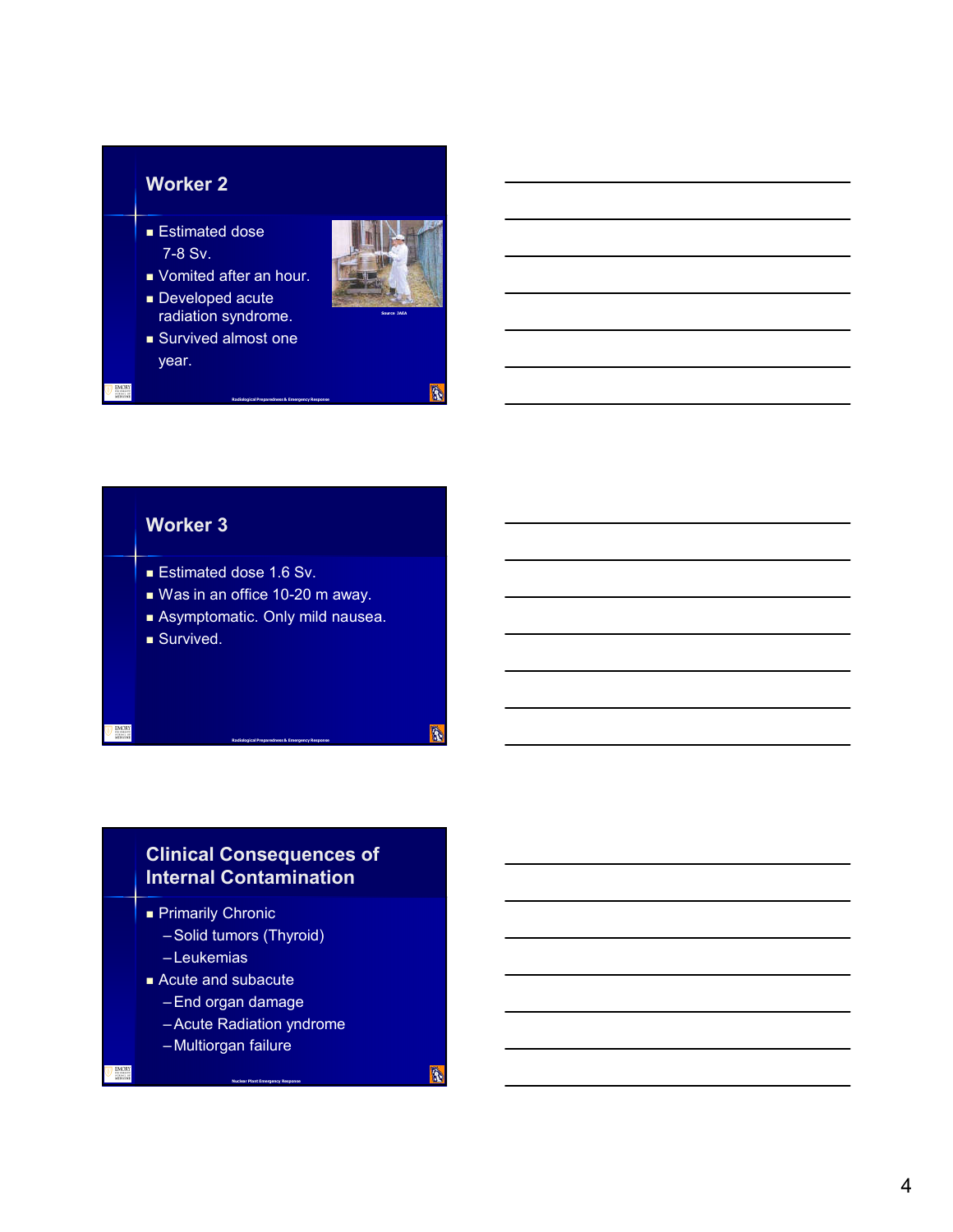### **Worker 2**

- **Estimated dose** 7-8 Sv.
- **vomited after an hour.**
- Developed acute radiation syndrome.
- Survived almost one year.



**B** 

**B** 

### **Worker 3**

- Estimated dose 1.6 Sv.
- Was in an office 10-20 m away.
- Asymptomatic. Only mild nausea.

**Radiological Preparedness & Emergency Response**

**Radiological Preparedness & Emergency Response**

Survived.

### **Clinical Consequences of Internal Contamination**

**Primarily Chronic** 

- –Solid tumors (Thyroid)
- Leukemias
- Acute and subacute
	- –End organ damage
	- –Acute Radiation yndrome

**Nuclear Plant Emergency Response**

– Multiorgan failure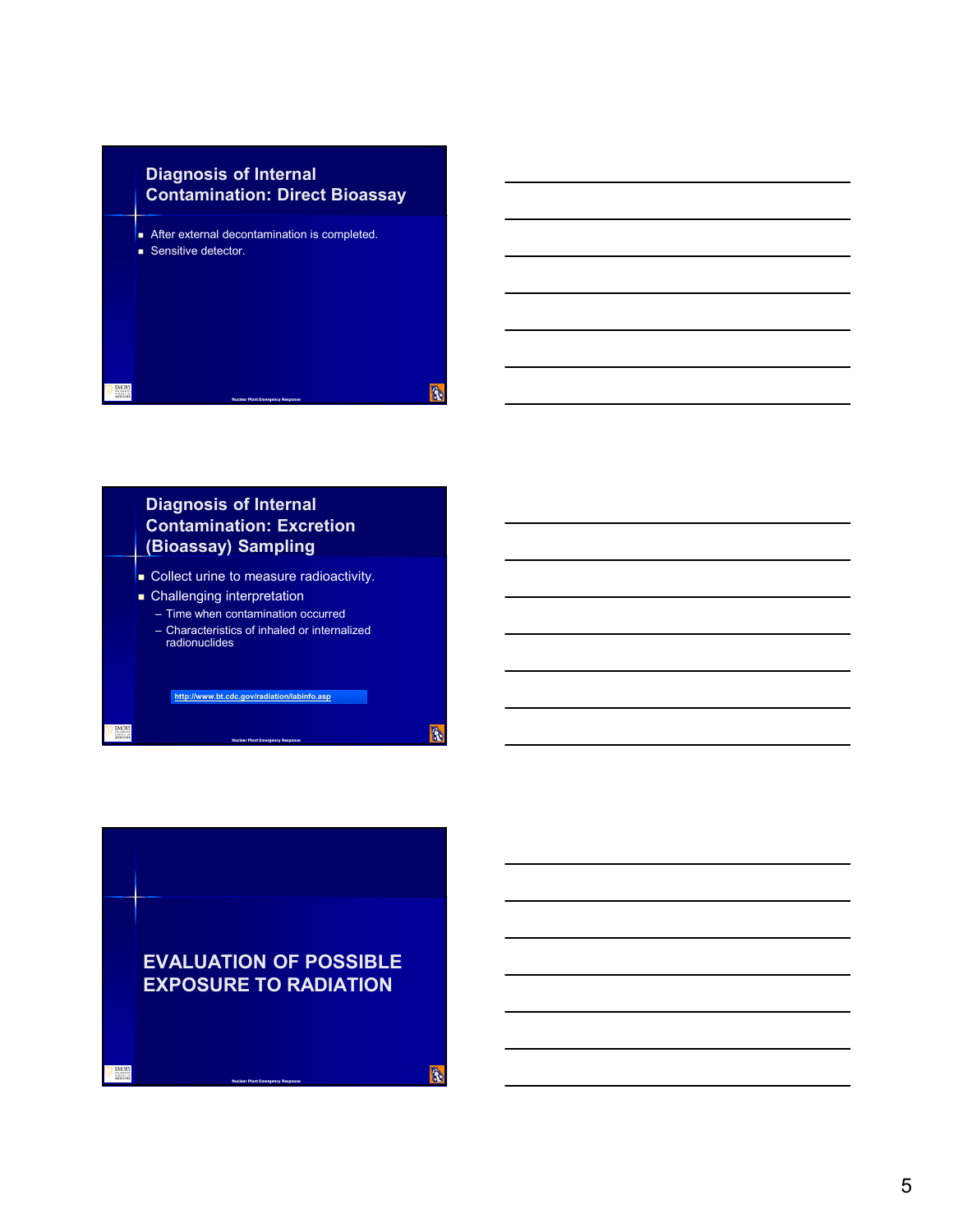### **Diagnosis of Internal Contamination: Direct Bioassay**

- After external decontamination is completed.
- Sensitive detector.



### **Diagnosis of Internal Contamination: Excretion (Bioassay) Sampling**

- **Collect urine to measure radioactivity.**
- **Challenging interpretation** – Time when contamination occurred
	- Characteristics of inhaled or internalized radionuclides

**http://www.bt.cdc.gov/radiation/labinfo.asp**

**Nuclear Plant Emergency Response**

**B** 

**B** 

**EVALUATION OF POSSIBLE EXPOSURE TO RADIATION**

**Nuclear Plant Emergency Response**

EMOR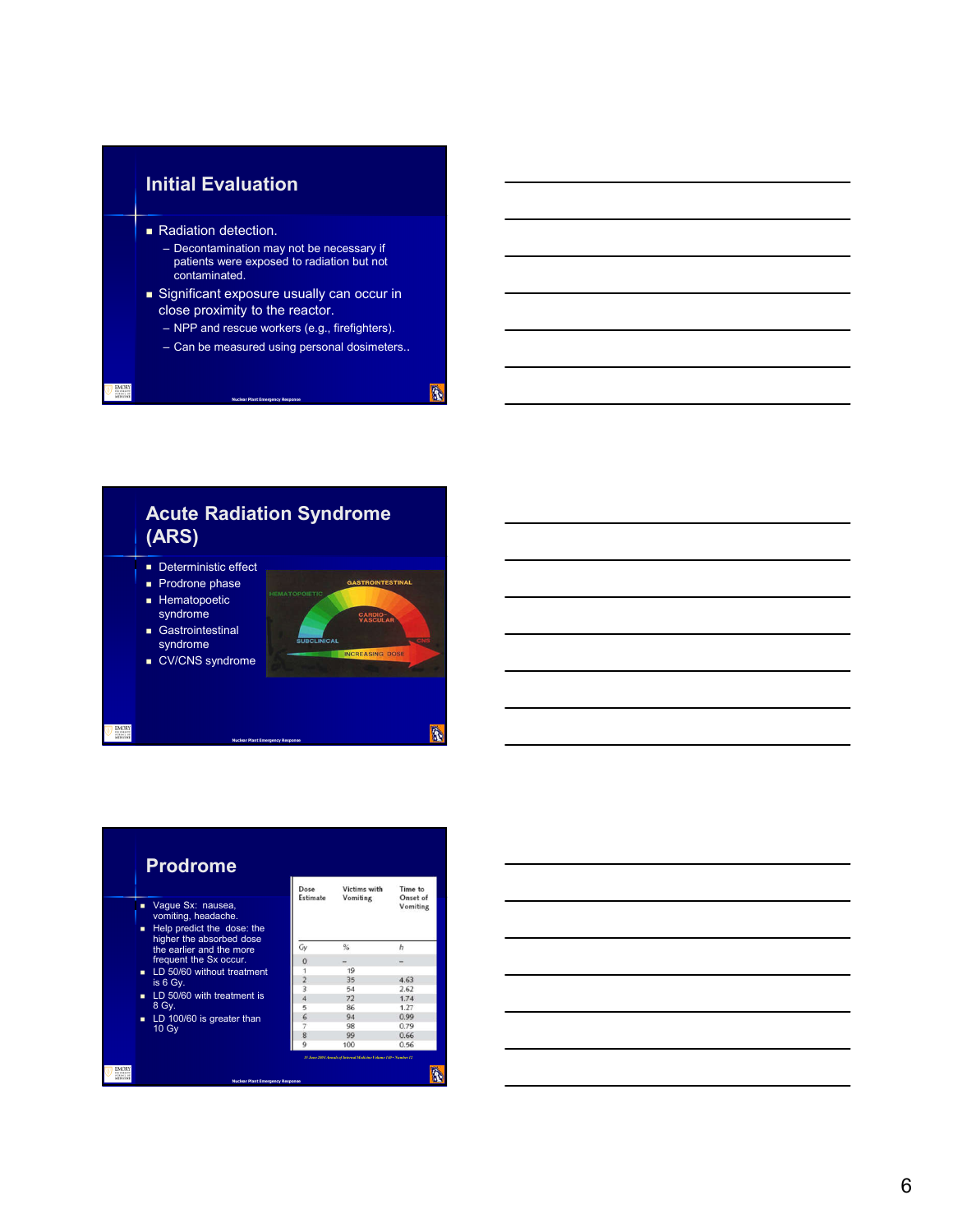### **Initial Evaluation**

- Radiation detection.
	- Decontamination may not be necessary if patients were exposed to radiation but not contaminated.
- Significant exposure usually can occur in close proximity to the reactor.

**Nuclear Plant Emergency Response**

- NPP and rescue workers (e.g., firefighters).
- Can be measured using personal dosimeters..

**B** 

**Acute Radiation Syndrome (ARS)** Deterministic effect **Prodrone phase** GASTROINTESTINAL **Hematopoetic** syndrome CARD Gastrointestinal syndrome ■ CV/CNS syndrome R. EMORT



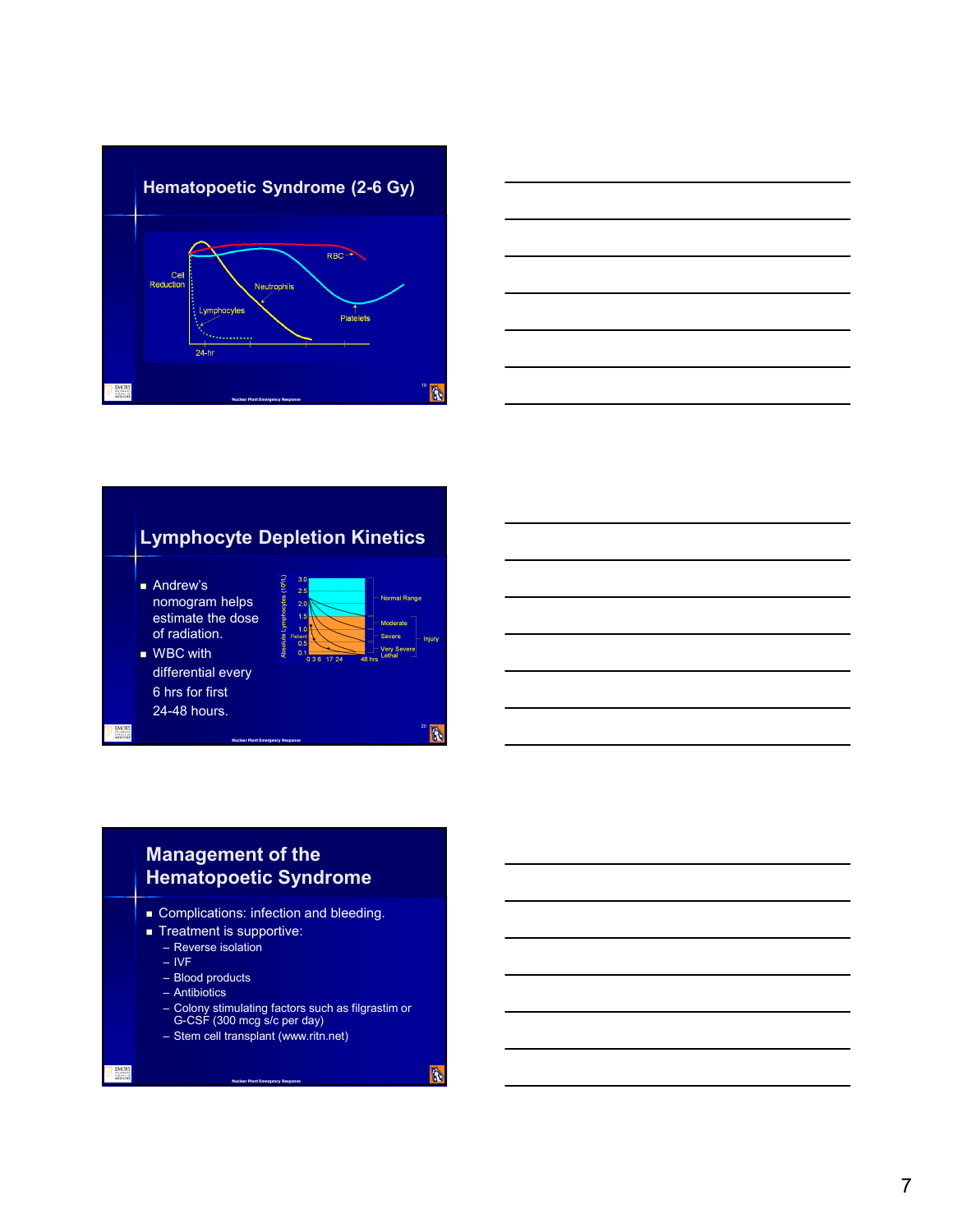



### **Lymphocyte Depletion Kinetics**

**Shep** 

**Andrew's** nomogram helps estimate the dose of radiation.



 $\ddot{\textbf{r}}$ 

A

■ WBC with differential every 6 hrs for first 24-48 hours.



### **Management of the Hematopoetic Syndrome**

**Nuclear Plant Emergency Response**

- **Complications: infection and bleeding.**
- Treatment is supportive:
	- Reverse isolation
	- IVF
	- Blood products
	- Antibiotics
	- Colony stimulating factors such as filgrastim or G-CSF (300 mcg s/c per day)
	- Stem cell transplant (www.ritn.net)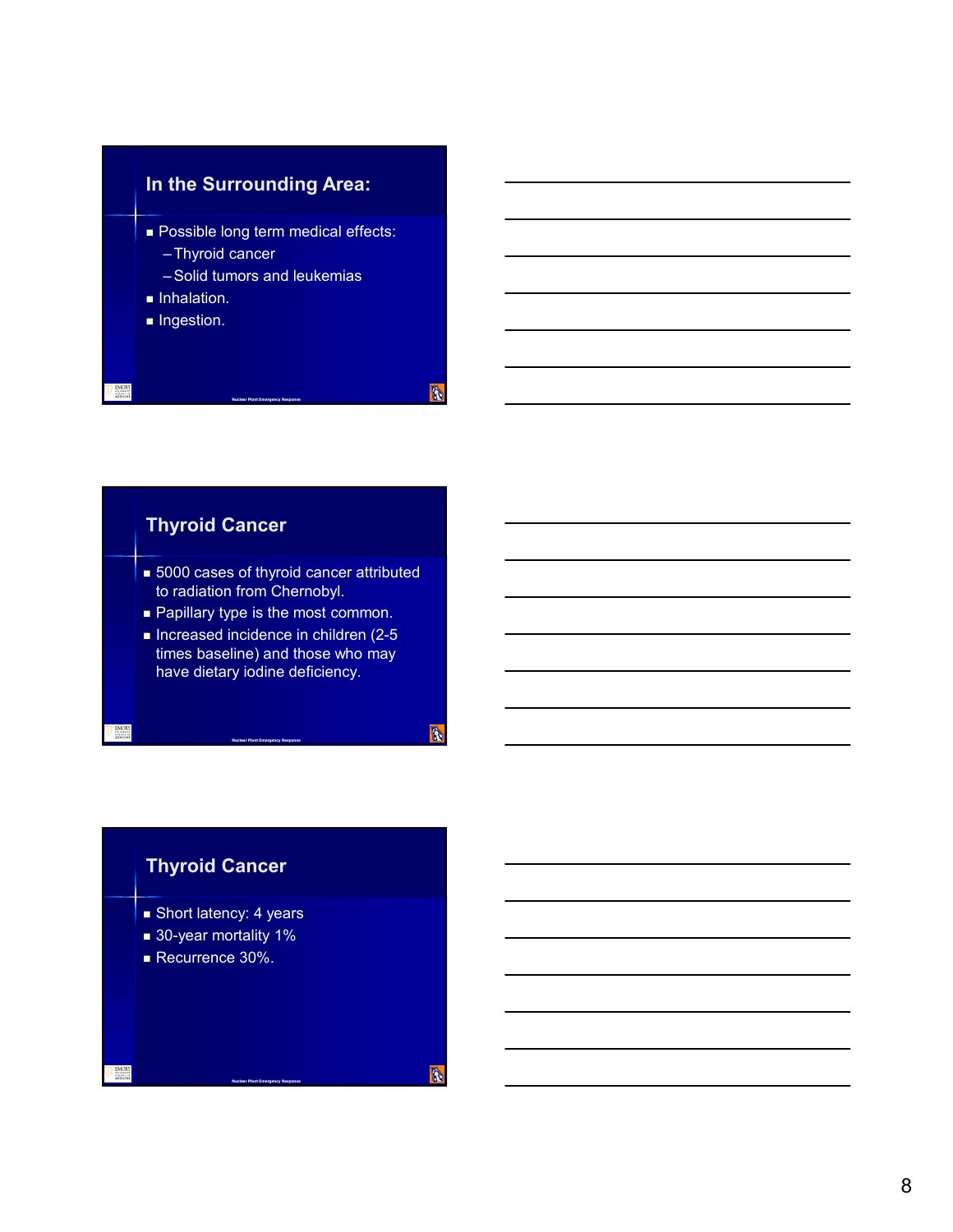

# **Thyroid Cancer**

- **5000 cases of thyroid cancer attributed** to radiation from Chernobyl.
- **Papillary type is the most common.**
- Increased incidence in children  $(2-5)$ times baseline) and those who may have dietary iodine deficiency.

**Nuclear Plant Emergency Response**

**Nuclear Plant Emergency Response**

# **Thyroid Cancer**

- **Short latency: 4 years**
- 30-year mortality 1%
- Recurrence 30%.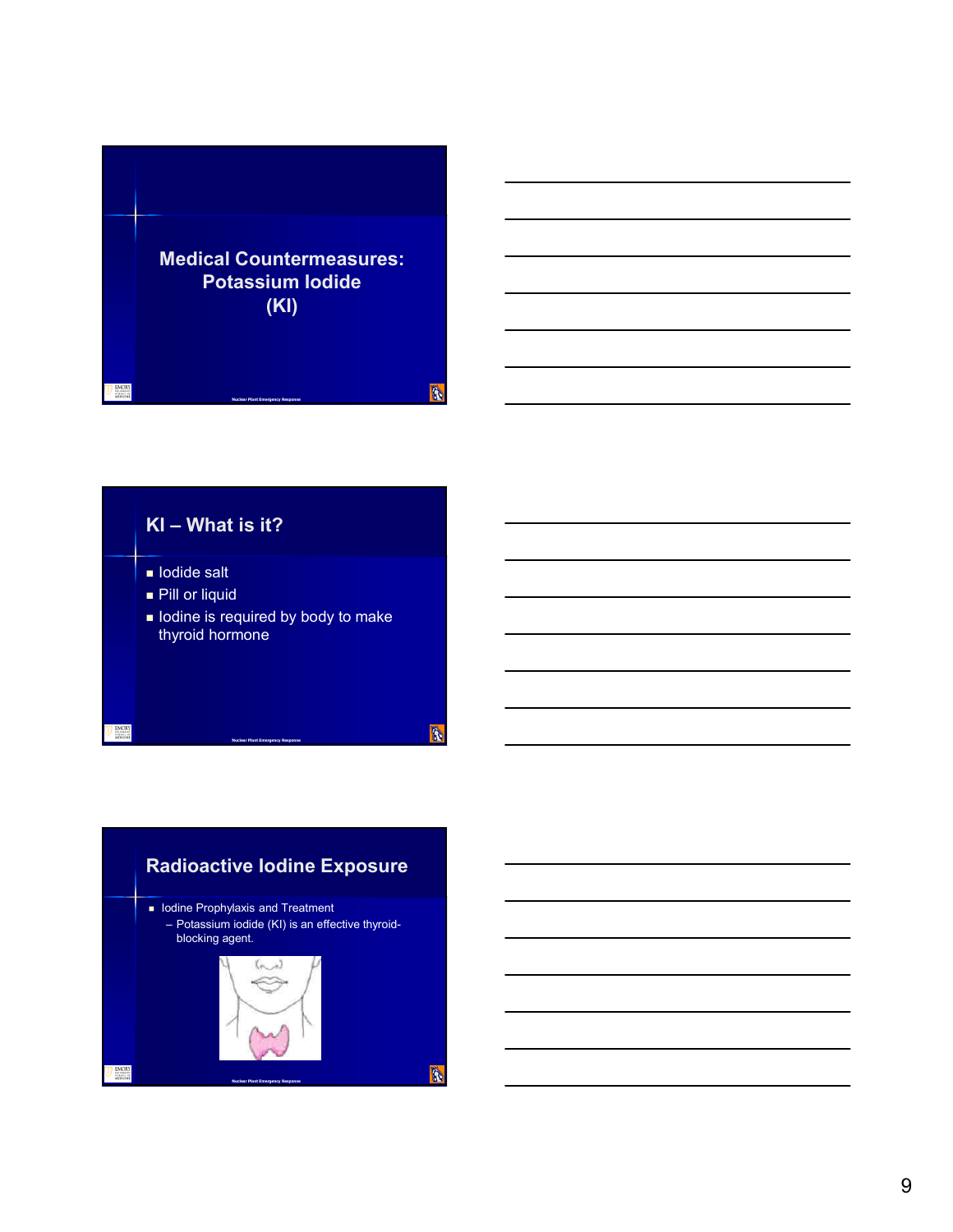



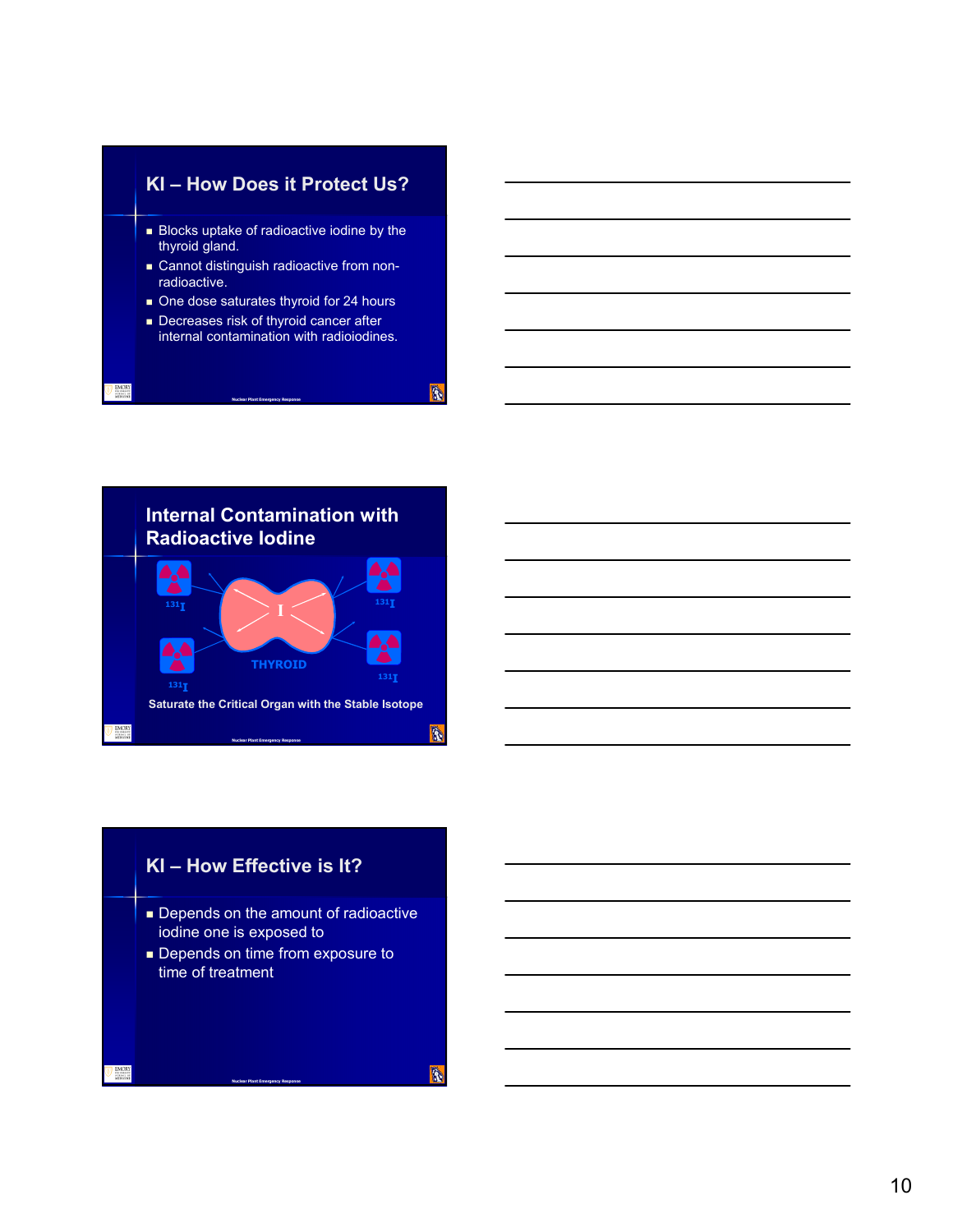



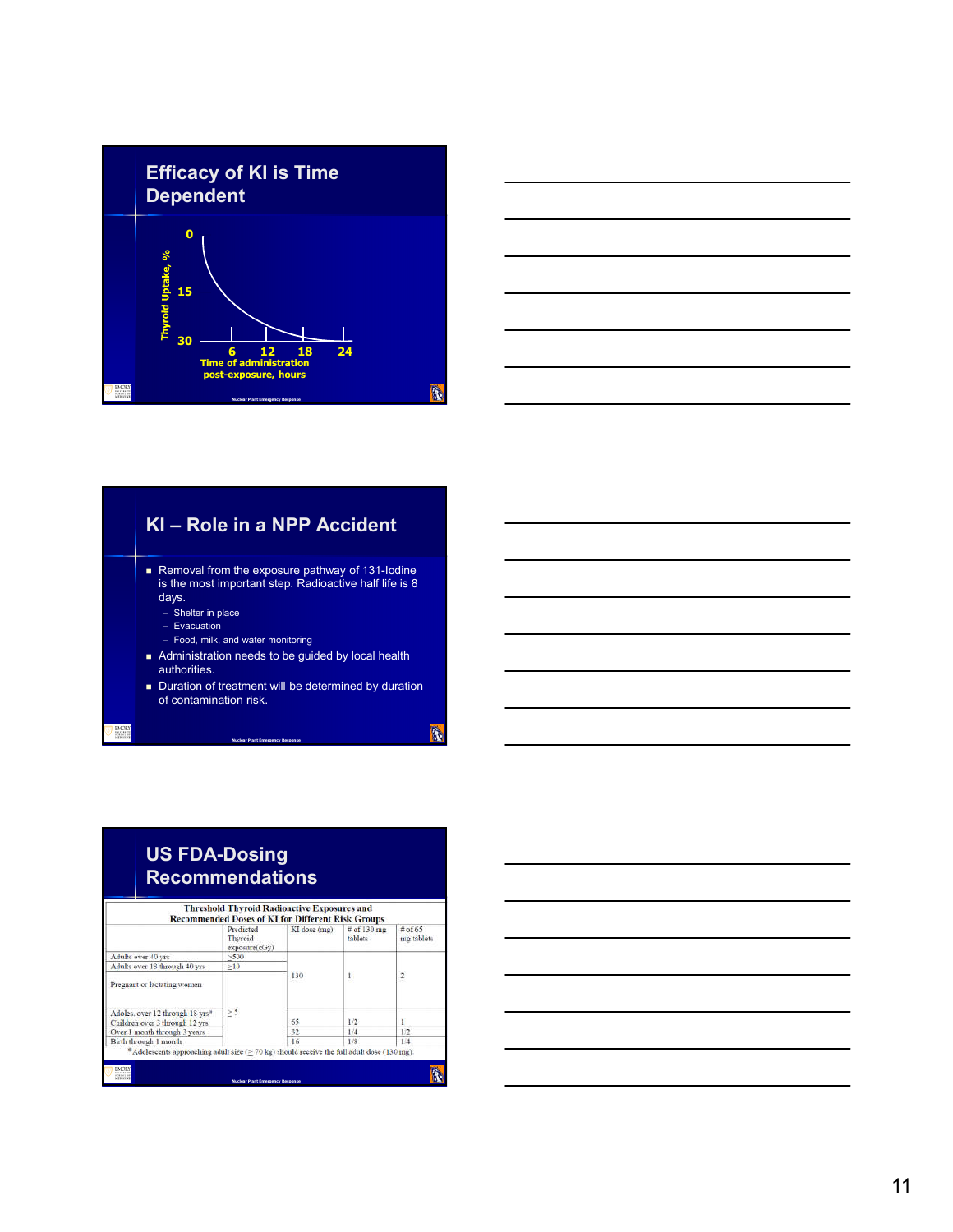





| US FDA-Dosing          |
|------------------------|
| <b>Recommendations</b> |

|                                                                                                         | Predicted<br>Thyroid<br>exposure(cGy) | KI dose (mg) | # of 130 mg<br>tablets | $#$ of 65<br>mg tablets |
|---------------------------------------------------------------------------------------------------------|---------------------------------------|--------------|------------------------|-------------------------|
| Adults over 40 yrs                                                                                      | >500                                  | 130          | $\mathbf{I}_{\cdot}$   | $\overline{z}$          |
| Adults over 18 through 40 yrs                                                                           | >10                                   |              |                        |                         |
| Pregnant or lactating women<br>Adoles, over 12 through 18 yrs*                                          | $\geq$ 5                              |              |                        |                         |
| Children over 3 through 12 yrs                                                                          |                                       | 65           | 1/2                    |                         |
| Over 1 month through 3 years                                                                            |                                       | 32           | 1/4                    | 1/2                     |
| Birth through 1 month                                                                                   |                                       | 16           | 1/8                    | 1/4                     |
| $^{\circ}$ Adolescents approaching adult size ( $>$ 70 kg) should receive the full adult dose (130 mg). |                                       |              |                        |                         |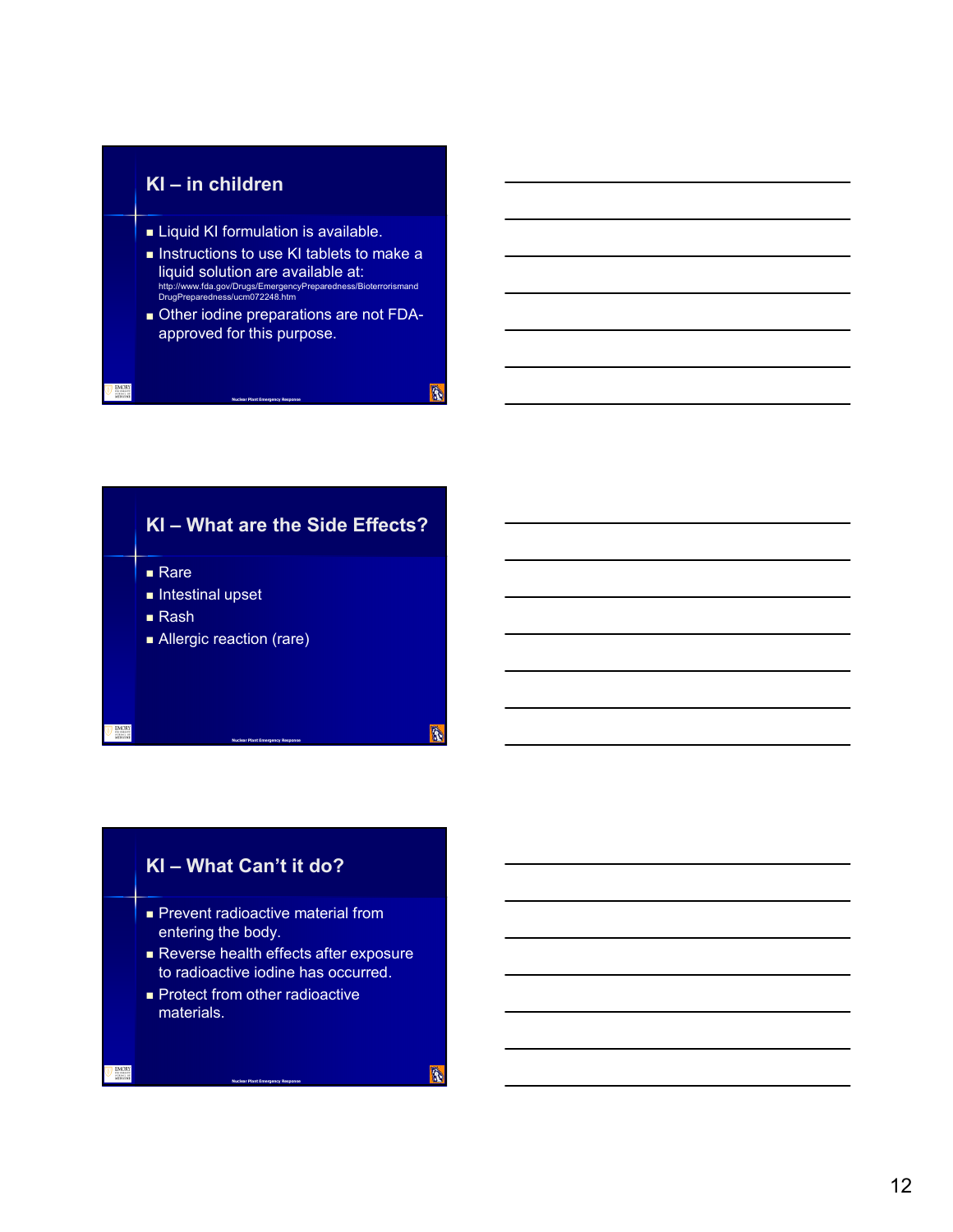### **KI – in children**

- **Example 3** Liquid KI formulation is available.
- Instructions to use KI tablets to make a liquid solution are available at: http://www.fda.gov/Drugs/EmergencyPreparedness/Bioterrorismand DrugPreparedness/ucm072248.htm
- Other iodine preparations are not FDAapproved for this purpose.

**Nuclear Plant Emergency Response**

**KI – What are the Side Effects? Rare**  $\blacksquare$  Intestinal upset ■ Rash Allergic reaction (rare)

**Nuclear Plant Emergency Response**

### **KI – What Can't it do?**

- **Prevent radioactive material from** entering the body.
- Reverse health effects after exposure to radioactive iodine has occurred.
- **Protect from other radioactive** materials.

**Nuclear Plant Emergency Response**

**B**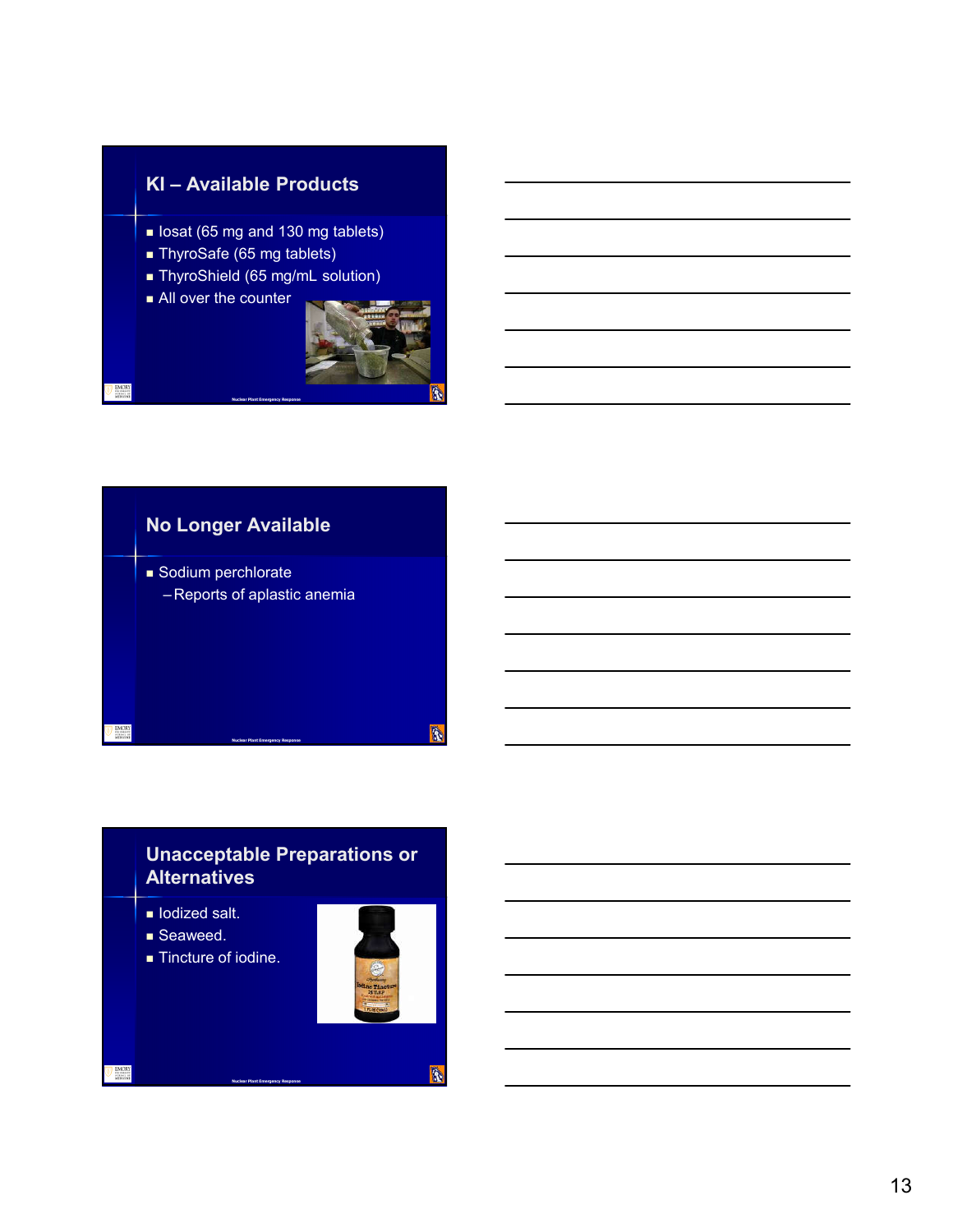### **KI – Available Products**

- Iosat (65 mg and 130 mg tablets)
- ThyroSafe (65 mg tablets)
- **ThyroShield (65 mg/mL solution)**
- **All over the counter**





**Nuclear Plant Emergency Response**

### **Unacceptable Preparations or Alternatives**

**Nuclear Plant Emergency Response**

- $\blacksquare$  Iodized salt.
- Seaweed.
- Tincture of iodine.



R.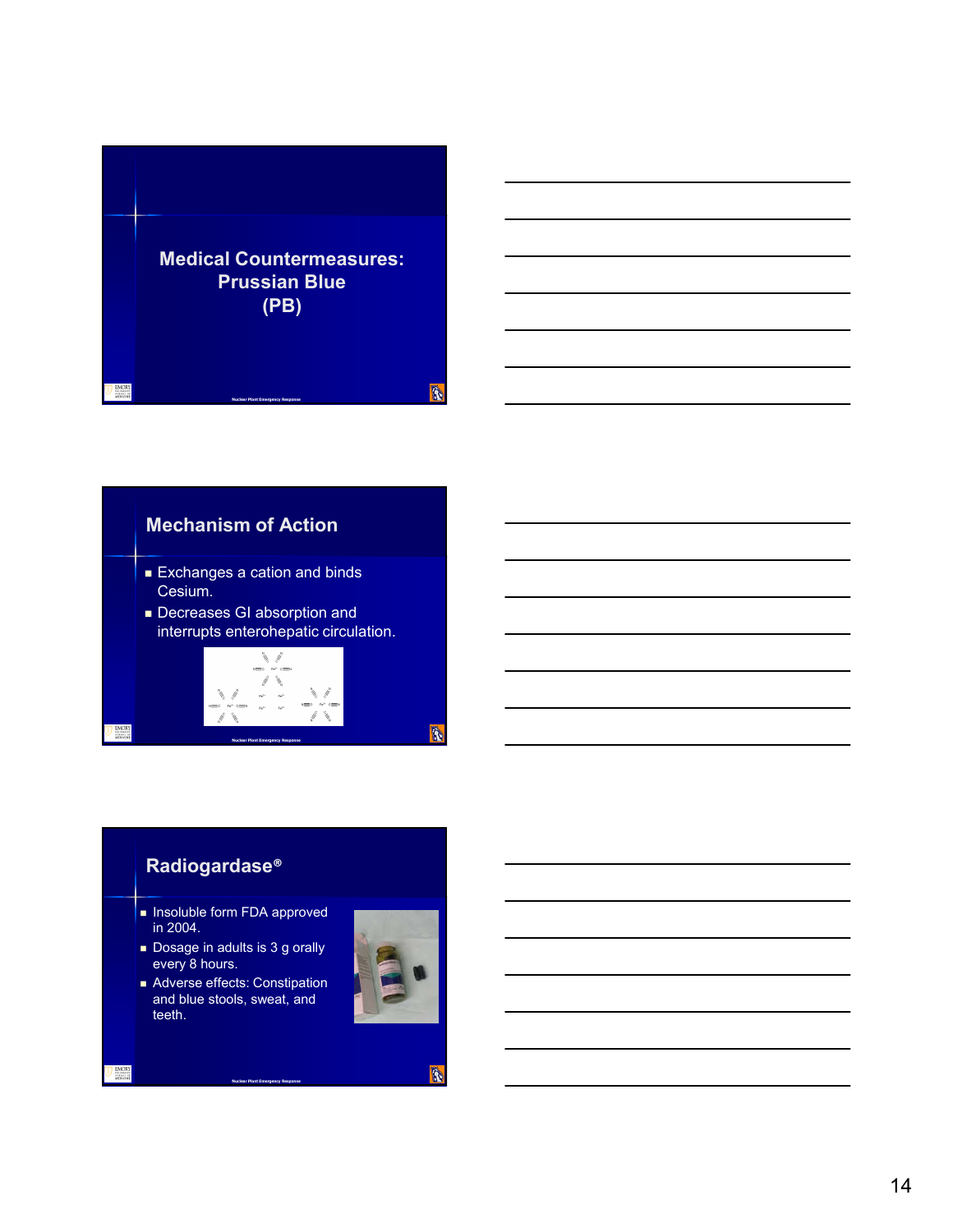

### **Mechanism of Action**

- **Exchanges a cation and binds** Cesium.
- **Decreases GI absorption and** interrupts enterohepatic circulation.



### **Radiogardase®**

- **Insoluble form FDA approved** in 2004.
- Dosage in adults is 3 g orally every 8 hours.
- Adverse effects: Constipation and blue stools, sweat, and teeth.

**Nuclear Plant Emergency Response**



À.

R.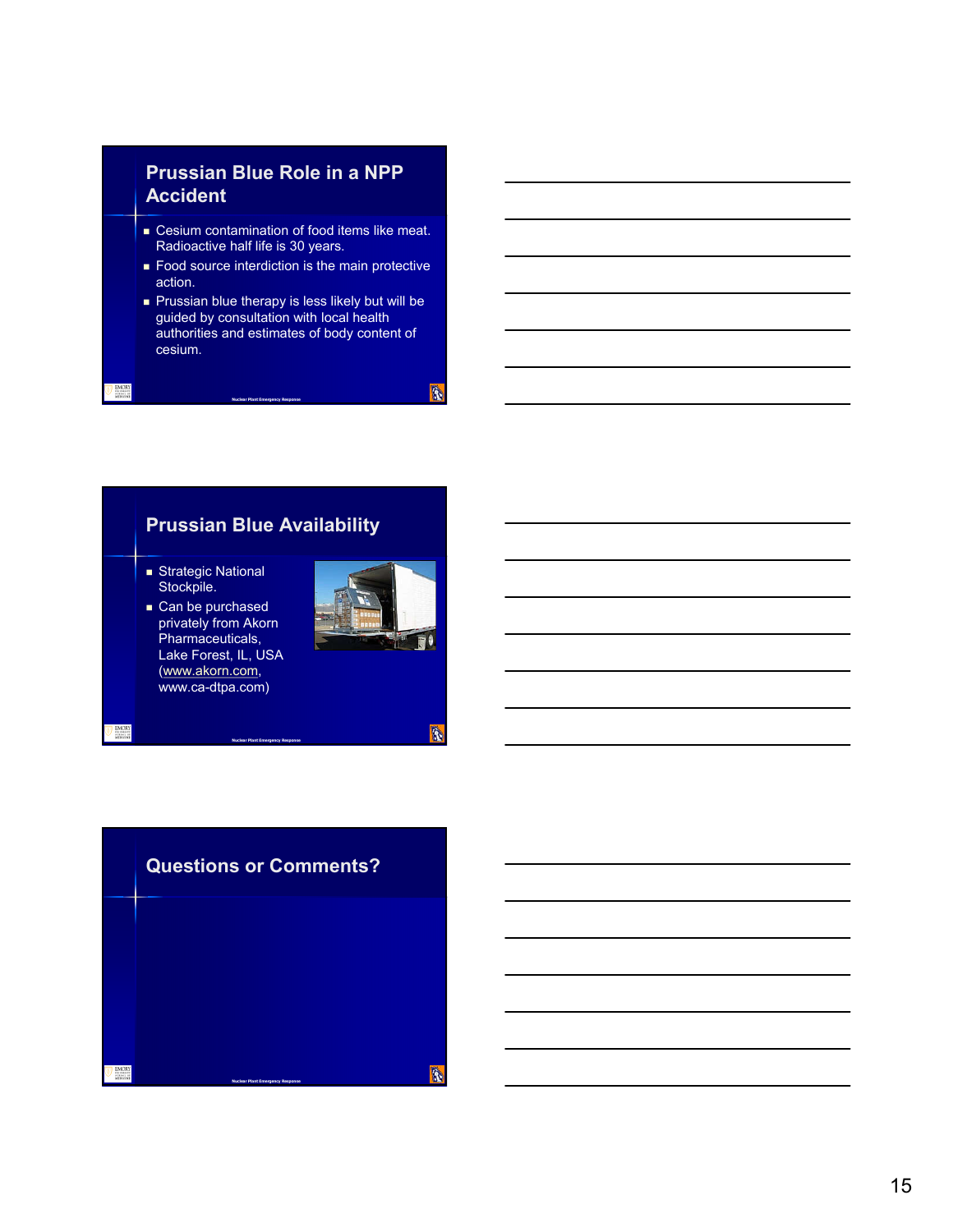### **Prussian Blue Role in a NPP Accident**

- **EXEC** Cesium contamination of food items like meat. Radioactive half life is 30 years.
- **Food source interdiction is the main protective** action.
- Prussian blue therapy is less likely but will be guided by consultation with local health authorities and estimates of body content of cesium.

# **Prussian Blue Availability**

**Nuclear Plant Emergency Response**

- Strategic National Stockpile.
- Can be purchased privately from Akorn Pharmaceuticals, Lake Forest, IL, USA (www.akorn.com, www.ca-dtpa.com)



**B** 

R.